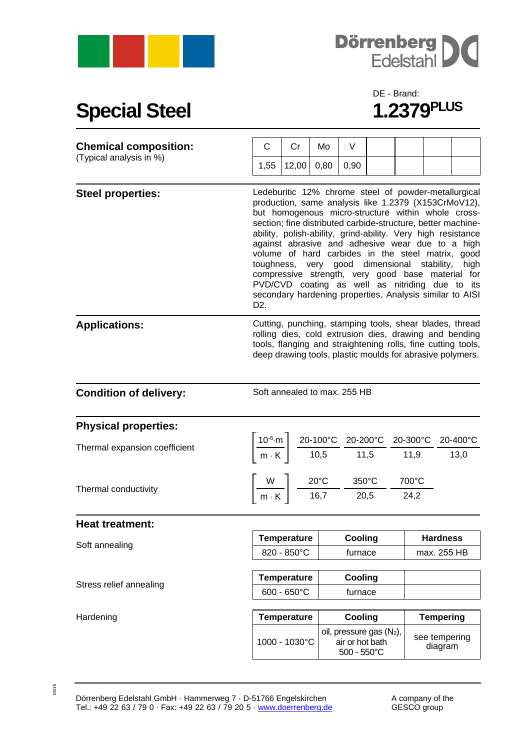



## **Special Steel**

## DE - Brand:<br>1.2379PLUS

| <b>Chemical composition:</b>  | C                                                                                                                                                                                                                                                                                                                                                                                                                                                                                                                                                                                                                                                          | Cr                                         | Mo                                                                                                                                                                                                    | V                                                         |  |               |                                |  |
|-------------------------------|------------------------------------------------------------------------------------------------------------------------------------------------------------------------------------------------------------------------------------------------------------------------------------------------------------------------------------------------------------------------------------------------------------------------------------------------------------------------------------------------------------------------------------------------------------------------------------------------------------------------------------------------------------|--------------------------------------------|-------------------------------------------------------------------------------------------------------------------------------------------------------------------------------------------------------|-----------------------------------------------------------|--|---------------|--------------------------------|--|
| (Typical analysis in %)       | 1,55                                                                                                                                                                                                                                                                                                                                                                                                                                                                                                                                                                                                                                                       | 12,00                                      | 0,80                                                                                                                                                                                                  | 0,90                                                      |  |               |                                |  |
| <b>Steel properties:</b>      | Ledeburitic 12% chrome steel of powder-metallurgical<br>production, same analysis like 1.2379 (X153CrMoV12),<br>but homogenous micro-structure within whole cross-<br>section; fine distributed carbide-structure, better machine-<br>ability, polish-ability, grind-ability. Very high resistance<br>against abrasive and adhesive wear due to a high<br>volume of hard carbides in the steel matrix, good<br>toughness, very good dimensional stability,<br>high<br>compressive strength, very good base material for<br>PVD/CVD coating as well as nitriding due to its<br>secondary hardening properties. Analysis similar to AISI<br>D <sub>2</sub> . |                                            |                                                                                                                                                                                                       |                                                           |  |               |                                |  |
| <b>Applications:</b>          | Cutting, punching, stamping tools, shear blades, thread<br>rolling dies, cold extrusion dies, drawing and bending<br>tools, flanging and straightening rolls, fine cutting tools,<br>deep drawing tools, plastic moulds for abrasive polymers.                                                                                                                                                                                                                                                                                                                                                                                                             |                                            |                                                                                                                                                                                                       |                                                           |  |               |                                |  |
| <b>Condition of delivery:</b> | Soft annealed to max. 255 HB                                                                                                                                                                                                                                                                                                                                                                                                                                                                                                                                                                                                                               |                                            |                                                                                                                                                                                                       |                                                           |  |               |                                |  |
| <b>Physical properties:</b>   |                                                                                                                                                                                                                                                                                                                                                                                                                                                                                                                                                                                                                                                            |                                            |                                                                                                                                                                                                       |                                                           |  |               |                                |  |
| Thermal expansion coefficient |                                                                                                                                                                                                                                                                                                                                                                                                                                                                                                                                                                                                                                                            |                                            | $\left\lceil \frac{10^{-6} \cdot m}{m \cdot K} \right\rceil \frac{20 - 100^{\circ}C}{10,5} \frac{20 - 200^{\circ}C}{11,5} \frac{20 - 300^{\circ}C}{11,9} \frac{20 - 400^{\circ}C}{13,0} \right\rceil$ |                                                           |  |               |                                |  |
| Thermal conductivity          | $\left[\frac{W}{m\cdot K}\right]$ $\frac{20^{\circ}C}{16,7}$ $\frac{350^{\circ}C}{20,5}$ -                                                                                                                                                                                                                                                                                                                                                                                                                                                                                                                                                                 |                                            |                                                                                                                                                                                                       |                                                           |  | 700°C<br>24,2 |                                |  |
| <b>Heat treatment:</b>        |                                                                                                                                                                                                                                                                                                                                                                                                                                                                                                                                                                                                                                                            |                                            |                                                                                                                                                                                                       |                                                           |  |               |                                |  |
| Soft annealing                | <b>Temperature</b><br>820 - 850°C                                                                                                                                                                                                                                                                                                                                                                                                                                                                                                                                                                                                                          |                                            |                                                                                                                                                                                                       | Cooling<br>furnace                                        |  |               | <b>Hardness</b><br>max. 255 HB |  |
| Stress relief annealing       |                                                                                                                                                                                                                                                                                                                                                                                                                                                                                                                                                                                                                                                            | <b>Temperature</b><br>$600 - 650^{\circ}C$ |                                                                                                                                                                                                       | Cooling<br>furnace                                        |  |               |                                |  |
| Hardening                     |                                                                                                                                                                                                                                                                                                                                                                                                                                                                                                                                                                                                                                                            | <b>Temperature</b>                         |                                                                                                                                                                                                       | Cooling                                                   |  |               | <b>Tempering</b>               |  |
|                               |                                                                                                                                                                                                                                                                                                                                                                                                                                                                                                                                                                                                                                                            | 1000 - 1030°C                              |                                                                                                                                                                                                       | oil, pressure gas (N2),<br>air or hot bath<br>500 - 550°C |  |               | see tempering<br>diagram       |  |